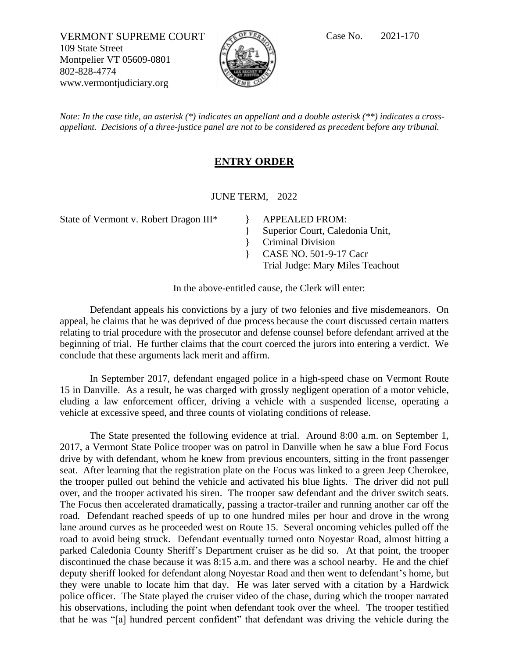VERMONT SUPREME COURT Case No. 2021-170 109 State Street Montpelier VT 05609-0801 802-828-4774 www.vermontjudiciary.org



*Note: In the case title, an asterisk (\*) indicates an appellant and a double asterisk (\*\*) indicates a crossappellant. Decisions of a three-justice panel are not to be considered as precedent before any tribunal.*

## **ENTRY ORDER**

JUNE TERM, 2022

} }

State of Vermont v. Robert Dragon III\* APPEALED FROM:

Superior Court, Caledonia Unit,

Criminal Division

} CASE NO. 501-9-17 Cacr

Trial Judge: Mary Miles Teachout

In the above-entitled cause, the Clerk will enter:

Defendant appeals his convictions by a jury of two felonies and five misdemeanors. On appeal, he claims that he was deprived of due process because the court discussed certain matters relating to trial procedure with the prosecutor and defense counsel before defendant arrived at the beginning of trial. He further claims that the court coerced the jurors into entering a verdict. We conclude that these arguments lack merit and affirm.

In September 2017, defendant engaged police in a high-speed chase on Vermont Route 15 in Danville. As a result, he was charged with grossly negligent operation of a motor vehicle, eluding a law enforcement officer, driving a vehicle with a suspended license, operating a vehicle at excessive speed, and three counts of violating conditions of release.

The State presented the following evidence at trial. Around 8:00 a.m. on September 1, 2017, a Vermont State Police trooper was on patrol in Danville when he saw a blue Ford Focus drive by with defendant, whom he knew from previous encounters, sitting in the front passenger seat. After learning that the registration plate on the Focus was linked to a green Jeep Cherokee, the trooper pulled out behind the vehicle and activated his blue lights. The driver did not pull over, and the trooper activated his siren. The trooper saw defendant and the driver switch seats. The Focus then accelerated dramatically, passing a tractor-trailer and running another car off the road. Defendant reached speeds of up to one hundred miles per hour and drove in the wrong lane around curves as he proceeded west on Route 15. Several oncoming vehicles pulled off the road to avoid being struck. Defendant eventually turned onto Noyestar Road, almost hitting a parked Caledonia County Sheriff's Department cruiser as he did so. At that point, the trooper discontinued the chase because it was 8:15 a.m. and there was a school nearby. He and the chief deputy sheriff looked for defendant along Noyestar Road and then went to defendant's home, but they were unable to locate him that day. He was later served with a citation by a Hardwick police officer. The State played the cruiser video of the chase, during which the trooper narrated his observations, including the point when defendant took over the wheel. The trooper testified that he was "[a] hundred percent confident" that defendant was driving the vehicle during the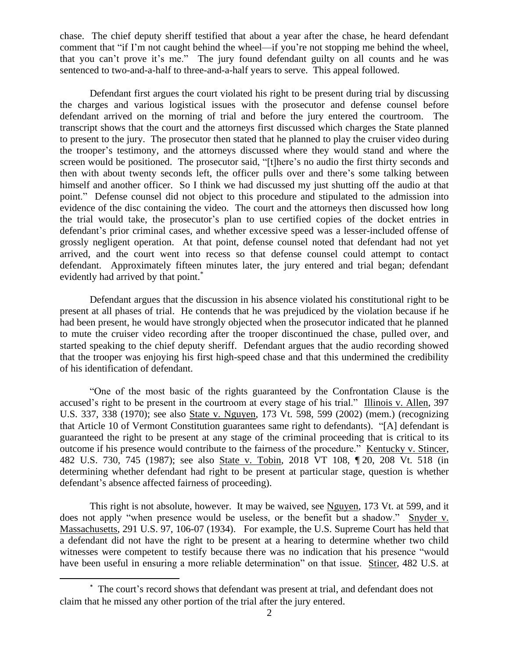chase. The chief deputy sheriff testified that about a year after the chase, he heard defendant comment that "if I'm not caught behind the wheel—if you're not stopping me behind the wheel, that you can't prove it's me." The jury found defendant guilty on all counts and he was sentenced to two-and-a-half to three-and-a-half years to serve. This appeal followed.

Defendant first argues the court violated his right to be present during trial by discussing the charges and various logistical issues with the prosecutor and defense counsel before defendant arrived on the morning of trial and before the jury entered the courtroom. The transcript shows that the court and the attorneys first discussed which charges the State planned to present to the jury. The prosecutor then stated that he planned to play the cruiser video during the trooper's testimony, and the attorneys discussed where they would stand and where the screen would be positioned. The prosecutor said, "[t]here's no audio the first thirty seconds and then with about twenty seconds left, the officer pulls over and there's some talking between himself and another officer. So I think we had discussed my just shutting off the audio at that point." Defense counsel did not object to this procedure and stipulated to the admission into evidence of the disc containing the video. The court and the attorneys then discussed how long the trial would take, the prosecutor's plan to use certified copies of the docket entries in defendant's prior criminal cases, and whether excessive speed was a lesser-included offense of grossly negligent operation. At that point, defense counsel noted that defendant had not yet arrived, and the court went into recess so that defense counsel could attempt to contact defendant. Approximately fifteen minutes later, the jury entered and trial began; defendant evidently had arrived by that point.<sup>\*</sup>

Defendant argues that the discussion in his absence violated his constitutional right to be present at all phases of trial. He contends that he was prejudiced by the violation because if he had been present, he would have strongly objected when the prosecutor indicated that he planned to mute the cruiser video recording after the trooper discontinued the chase, pulled over, and started speaking to the chief deputy sheriff. Defendant argues that the audio recording showed that the trooper was enjoying his first high-speed chase and that this undermined the credibility of his identification of defendant.

"One of the most basic of the rights guaranteed by the Confrontation Clause is the accused's right to be present in the courtroom at every stage of his trial." Illinois v. Allen, 397 U.S. 337, 338 (1970); see also State v. Nguyen, 173 Vt. 598, 599 (2002) (mem.) (recognizing that Article 10 of Vermont Constitution guarantees same right to defendants). "[A] defendant is guaranteed the right to be present at any stage of the criminal proceeding that is critical to its outcome if his presence would contribute to the fairness of the procedure." Kentucky v. Stincer, 482 U.S. 730, 745 (1987); see also State v. Tobin, 2018 VT 108, ¶ 20, 208 Vt. 518 (in determining whether defendant had right to be present at particular stage, question is whether defendant's absence affected fairness of proceeding).

This right is not absolute, however. It may be waived, see Nguyen, 173 Vt. at 599, and it does not apply "when presence would be useless, or the benefit but a shadow." Snyder v. Massachusetts, 291 U.S. 97, 106-07 (1934). For example, the U.S. Supreme Court has held that a defendant did not have the right to be present at a hearing to determine whether two child witnesses were competent to testify because there was no indication that his presence "would have been useful in ensuring a more reliable determination" on that issue. Stincer, 482 U.S. at

<sup>\*</sup> The court's record shows that defendant was present at trial, and defendant does not claim that he missed any other portion of the trial after the jury entered.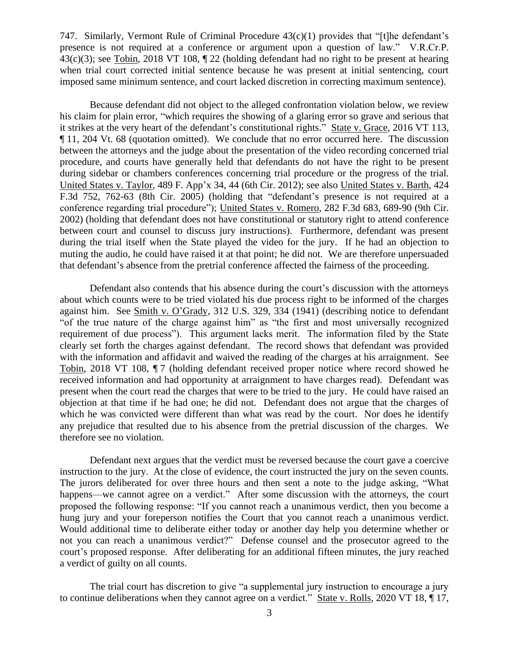747. Similarly, Vermont Rule of Criminal Procedure 43(c)(1) provides that "[t]he defendant's presence is not required at a conference or argument upon a question of law." V.R.Cr.P. 43(c)(3); see Tobin, 2018 VT 108, ¶ 22 (holding defendant had no right to be present at hearing when trial court corrected initial sentence because he was present at initial sentencing, court imposed same minimum sentence, and court lacked discretion in correcting maximum sentence).

Because defendant did not object to the alleged confrontation violation below, we review his claim for plain error, "which requires the showing of a glaring error so grave and serious that it strikes at the very heart of the defendant's constitutional rights." State v. Grace, 2016 VT 113, ¶ 11, 204 Vt. 68 (quotation omitted). We conclude that no error occurred here. The discussion between the attorneys and the judge about the presentation of the video recording concerned trial procedure, and courts have generally held that defendants do not have the right to be present during sidebar or chambers conferences concerning trial procedure or the progress of the trial. United States v. Taylor, 489 F. App'x 34, 44 (6th Cir. 2012); see also United States v. Barth, 424 F.3d 752, 762-63 (8th Cir. 2005) (holding that "defendant's presence is not required at a conference regarding trial procedure"); United States v. Romero, 282 F.3d 683, 689-90 (9th Cir. 2002) (holding that defendant does not have constitutional or statutory right to attend conference between court and counsel to discuss jury instructions). Furthermore, defendant was present during the trial itself when the State played the video for the jury. If he had an objection to muting the audio, he could have raised it at that point; he did not. We are therefore unpersuaded that defendant's absence from the pretrial conference affected the fairness of the proceeding.

Defendant also contends that his absence during the court's discussion with the attorneys about which counts were to be tried violated his due process right to be informed of the charges against him. See Smith v. O'Grady, 312 U.S. 329, 334 (1941) (describing notice to defendant "of the true nature of the charge against him" as "the first and most universally recognized requirement of due process"). This argument lacks merit. The information filed by the State clearly set forth the charges against defendant. The record shows that defendant was provided with the information and affidavit and waived the reading of the charges at his arraignment. See Tobin, 2018 VT 108,  $\P$  7 (holding defendant received proper notice where record showed he received information and had opportunity at arraignment to have charges read). Defendant was present when the court read the charges that were to be tried to the jury. He could have raised an objection at that time if he had one; he did not. Defendant does not argue that the charges of which he was convicted were different than what was read by the court. Nor does he identify any prejudice that resulted due to his absence from the pretrial discussion of the charges. We therefore see no violation.

Defendant next argues that the verdict must be reversed because the court gave a coercive instruction to the jury. At the close of evidence, the court instructed the jury on the seven counts. The jurors deliberated for over three hours and then sent a note to the judge asking, "What happens—we cannot agree on a verdict." After some discussion with the attorneys, the court proposed the following response: "If you cannot reach a unanimous verdict, then you become a hung jury and your foreperson notifies the Court that you cannot reach a unanimous verdict. Would additional time to deliberate either today or another day help you determine whether or not you can reach a unanimous verdict?" Defense counsel and the prosecutor agreed to the court's proposed response. After deliberating for an additional fifteen minutes, the jury reached a verdict of guilty on all counts.

The trial court has discretion to give "a supplemental jury instruction to encourage a jury to continue deliberations when they cannot agree on a verdict." State v. Rolls, 2020 VT 18, 17,